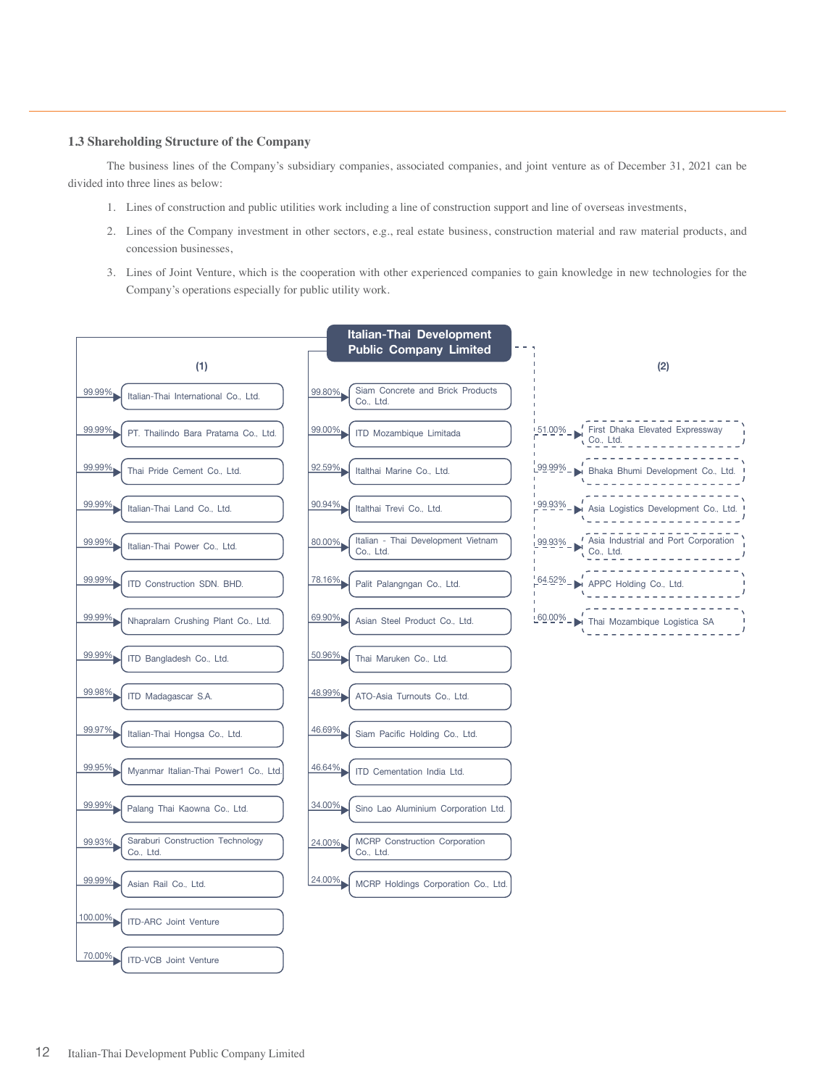## **1.3 Shareholding Structure of the Company**

The business lines of the Company's subsidiary companies, associated companies, and joint venture as of December 31, 2021 can be divided into three lines as below:

- 1. Lines of construction and public utilities work including a line of construction support and line of overseas investments,
- 2. Lines of the Company investment in other sectors, e.g., real estate business, construction material and raw material products, and concession businesses,
- 3. Lines of Joint Venture, which is the cooperation with other experienced companies to gain knowledge in new technologies for the Company's operations especially for public utility work.